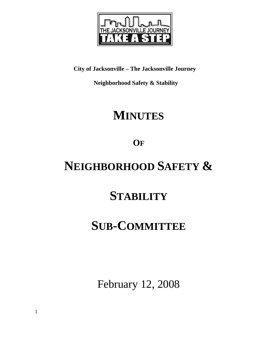

**City of Jacksonville – The Jacksonville Journey** 

 **Neighborhood Safety & Stability** 

# **MINUTES**

**OF**

# **NEIGHBORHOOD SAFETY &**

## **STABILITY**

## **SUB-COMMITTEE**

February 12, 2008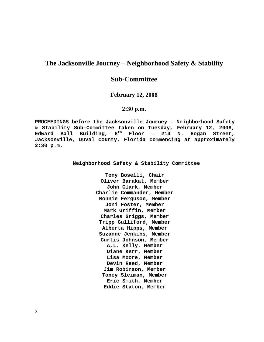## **The Jacksonville Journey – Neighborhood Safety & Stability**

## **Sub-Committee**

### **February 12, 2008**

## **2:30 p.m.**

**PROCEEDINGS before the Jacksonville Journey – Neighborhood Safety & Stability Sub-Committee taken on Tuesday, February 12, 2008, Edward Ball Building, 8th Floor – 214 N. Hogan Street, Jacksonville, Duval County, Florida commencing at approximately 2:30 p.m.** 

**Neighborhood Safety & Stability Committee** 

**Tony Boselli, Chair Oliver Barakat, Member John Clark, Member Charlie Commander, Member Ronnie Ferguson, Member Joni Foster, Member Mark Griffin, Member Charles Griggs, Member Tripp Gulliford, Member Alberta Hipps, Member Suzanne Jenkins, Member Curtis Johnson, Member A.L. Kelly, Member Diane Kerr, Member Lisa Moore, Member Devin Reed, Member Jim Robinson, Member Toney Sleiman, Member Eric Smith, Member Eddie Staton, Member**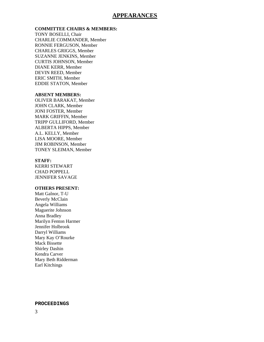### **APPEARANCES**

#### **COMMITTEE CHAIRS & MEMBERS:**

TONY BOSELLI, Chair CHARLIE COMMANDER, Member RONNIE FERGUSON, Member CHARLES GRIGGS, Member SUZANNE JENKINS, Member CURTIS JOHNSON, Member DIANE KERR, Member DEVIN REED, Member ERIC SMITH, Member EDDIE STATON, Member

#### **ABSENT MEMBERS:**

OLIVER BARAKAT, Member JOHN CLARK, Member JONI FOSTER, Member MARK GRIFFIN, Member TRIPP GULLIFORD, Member ALBERTA HIPPS, Member A.L. KELLY, Member LISA MOORE, Member JIM ROBINSON, Member TONEY SLEIMAN, Member

#### **STAFF:**

KERRI STEWART CHAD POPPELL JENNIFER SAVAGE

### **OTHERS PRESENT:**

Matt Galnor, T-U Beverly McClain Angela Williams Maguerite Johnson Anna Bradley Marilyn Fenton Harmer Jennifer Holbrook Darryl Williams Mary Kay O'Rourke Mack Bissette Shirley Dashin Kendra Carver Mary Beth Ridderman Earl Kitchings

#### **PROCEEDINGS**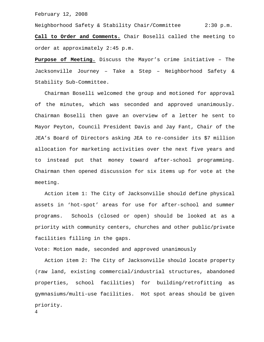February 12, 2008

Neighborhood Safety & Stability Chair/Committee 2:30 p.m. **Call to Order and Comments.** Chair Boselli called the meeting to order at approximately 2:45 p.m.

**Purpose of Meeting.** Discuss the Mayor's crime initiative – The Jacksonville Journey – Take a Step – Neighborhood Safety & Stability Sub-Committee.

 Chairman Boselli welcomed the group and motioned for approval of the minutes, which was seconded and approved unanimously. Chairman Boselli then gave an overview of a letter he sent to Mayor Peyton, Council President Davis and Jay Fant, Chair of the JEA's Board of Directors asking JEA to re-consider its \$7 million allocation for marketing activities over the next five years and to instead put that money toward after-school programming. Chairman then opened discussion for six items up for vote at the meeting.

 Action item 1: The City of Jacksonville should define physical assets in 'hot-spot' areas for use for after-school and summer programs. Schools (closed or open) should be looked at as a priority with community centers, churches and other public/private facilities filling in the gaps.

Vote: Motion made, seconded and approved unanimously

 Action item 2: The City of Jacksonville should locate property (raw land, existing commercial/industrial structures, abandoned properties, school facilities) for building/retrofitting as gymnasiums/multi-use facilities. Hot spot areas should be given priority.

4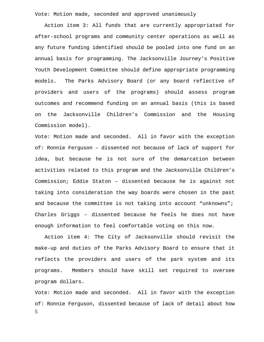Vote: Motion made, seconded and approved unanimously

 Action item 3: All funds that are currently appropriated for after-school programs and community center operations as well as any future funding identified should be pooled into one fund on an annual basis for programming. The Jacksonville Journey's Positive Youth Development Committee should define appropriate programming models. The Parks Advisory Board (or any board reflective of providers and users of the programs) should assess program outcomes and recommend funding on an annual basis (this is based on the Jacksonville Children's Commission and the Housing Commission model).

Vote: Motion made and seconded. All in favor with the exception of: Ronnie Ferguson – dissented not because of lack of support for idea, but because he is not sure of the demarcation between activities related to this program and the Jacksonville Children's Commission; Eddie Staton – dissented because he is against not taking into consideration the way boards were chosen in the past and because the committee is not taking into account "unknowns"; Charles Griggs – dissented because he feels he does not have enough information to feel comfortable voting on this now.

 Action item 4: The City of Jacksonville should revisit the make-up and duties of the Parks Advisory Board to ensure that it reflects the providers and users of the park system and its programs. Members should have skill set required to oversee program dollars.

5 Vote: Motion made and seconded. All in favor with the exception of: Ronnie Ferguson, dissented because of lack of detail about how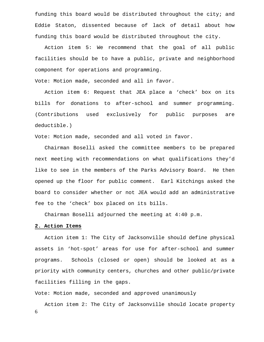funding this board would be distributed throughout the city; and Eddie Staton, dissented because of lack of detail about how funding this board would be distributed throughout the city.

 Action item 5: We recommend that the goal of all public facilities should be to have a public, private and neighborhood component for operations and programming.

Vote: Motion made, seconded and all in favor.

 Action item 6: Request that JEA place a 'check' box on its bills for donations to after-school and summer programming. (Contributions used exclusively for public purposes are deductible.)

Vote: Motion made, seconded and all voted in favor.

 Chairman Boselli asked the committee members to be prepared next meeting with recommendations on what qualifications they'd like to see in the members of the Parks Advisory Board. He then opened up the floor for public comment. Earl Kitchings asked the board to consider whether or not JEA would add an administrative fee to the 'check' box placed on its bills.

Chairman Boselli adjourned the meeting at 4:40 p.m.

#### **2. Action Items**

 Action item 1: The City of Jacksonville should define physical assets in 'hot-spot' areas for use for after-school and summer programs. Schools (closed or open) should be looked at as a priority with community centers, churches and other public/private facilities filling in the gaps.

Vote: Motion made, seconded and approved unanimously

6 Action item 2: The City of Jacksonville should locate property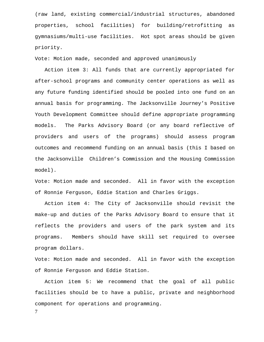(raw land, existing commercial/industrial structures, abandoned properties, school facilities) for building/retrofitting as gymnasiums/multi-use facilities. Hot spot areas should be given priority.

Vote: Motion made, seconded and approved unanimously

 Action item 3: All funds that are currently appropriated for after-school programs and community center operations as well as any future funding identified should be pooled into one fund on an annual basis for programming. The Jacksonville Journey's Positive Youth Development Committee should define appropriate programming models. The Parks Advisory Board (or any board reflective of providers and users of the programs) should assess program outcomes and recommend funding on an annual basis (this I based on the Jacksonville Children's Commission and the Housing Commission model).

Vote: Motion made and seconded. All in favor with the exception of Ronnie Ferguson, Eddie Station and Charles Griggs.

 Action item 4: The City of Jacksonville should revisit the make-up and duties of the Parks Advisory Board to ensure that it reflects the providers and users of the park system and its programs. Members should have skill set required to oversee program dollars.

Vote: Motion made and seconded. All in favor with the exception of Ronnie Ferguson and Eddie Station.

 Action item 5: We recommend that the goal of all public facilities should be to have a public, private and neighborhood component for operations and programming.

7